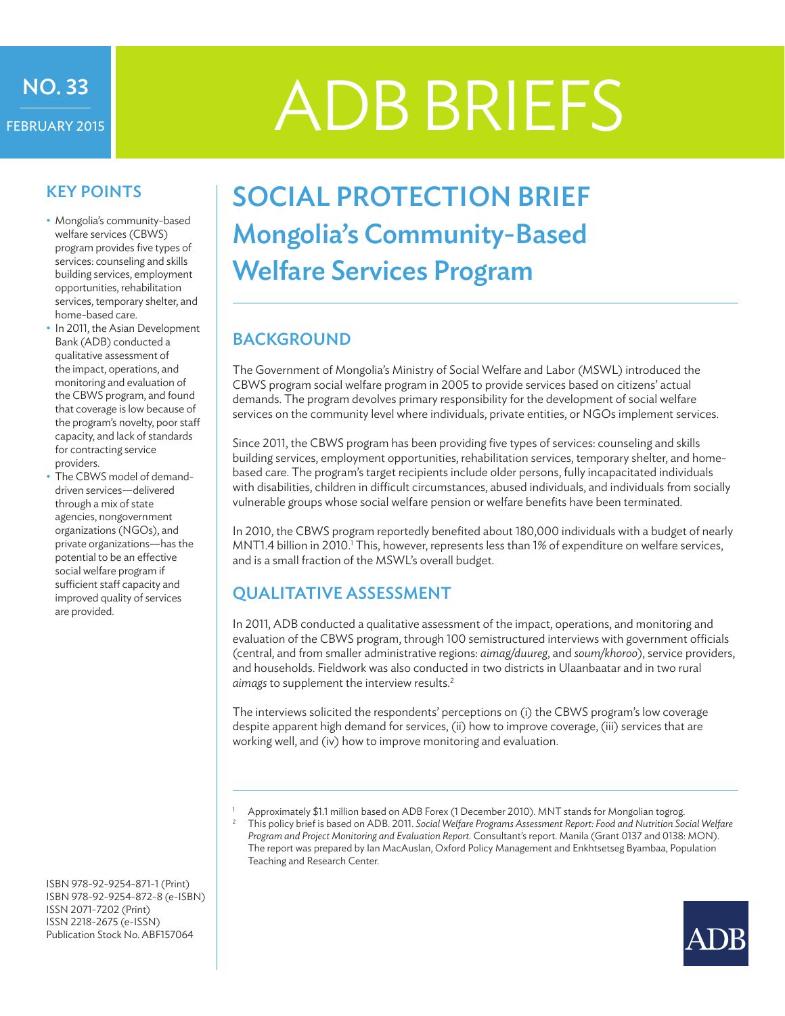# FEBRUARY 2015

# NO. 33<br>BRUARY2015 | ADB BRIEFS

#### KEY POINTS

- Mongolia's community-based welfare services (CBWS) program provides five types of services: counseling and skills building services, employment opportunities, rehabilitation services, temporary shelter, and home-based care.
- In 2011, the Asian Development Bank (ADB) conducted a qualitative assessment of the impact, operations, and monitoring and evaluation of the CBWS program, and found that coverage is low because of the program's novelty, poor staff capacity, and lack of standards for contracting service providers.
- The CBWS model of demanddriven services—delivered through a mix of state agencies, nongovernment organizations (NGOs), and private organizations—has the potential to be an effective social welfare program if sufficient staff capacity and improved quality of services are provided.

ISBN 978-92-9254-871-1 (Print) ISBN 978-92-9254-872-8 (e-ISBN) ISSN 2071-7202 (Print) ISSN 2218-2675 (e-ISSN) Publication Stock No. ABF157064

## SOCIAL PROTECTION BRIEF Mongolia's Community-Based Welfare Services Program

### **BACKGROUND**

The Government of Mongolia's Ministry of Social Welfare and Labor (MSWL) introduced the CBWS program social welfare program in 2005 to provide services based on citizens' actual demands. The program devolves primary responsibility for the development of social welfare services on the community level where individuals, private entities, or NGOs implement services.

Since 2011, the CBWS program has been providing five types of services: counseling and skills building services, employment opportunities, rehabilitation services, temporary shelter, and homebased care. The program's target recipients include older persons, fully incapacitated individuals with disabilities, children in difficult circumstances, abused individuals, and individuals from socially vulnerable groups whose social welfare pension or welfare benefits have been terminated.

In 2010, the CBWS program reportedly benefited about 180,000 individuals with a budget of nearly MNT1.4 billion in 2010.<sup>1</sup> This, however, represents less than 1% of expenditure on welfare services, and is a small fraction of the MSWL's overall budget.

### Qualitative Assessment

In 2011, ADB conducted a qualitative assessment of the impact, operations, and monitoring and evaluation of the CBWS program, through 100 semistructured interviews with government officials (central, and from smaller administrative regions: *aimag/duureg*, and *soum/khoroo*), service providers, and households. Fieldwork was also conducted in two districts in Ulaanbaatar and in two rural *aimags* to supplement the interview results.2

The interviews solicited the respondents' perceptions on (i) the CBWS program's low coverage despite apparent high demand for services, (ii) how to improve coverage, (iii) services that are working well, and (iv) how to improve monitoring and evaluation.

1 Approximately \$1.1 million based on ADB Forex (1 December 2010). MNT stands for Mongolian togrog.<br>2. This policy brief is based on ADB 2011, Sasial Welfare Programs Accessory Report. Each and Mutrition So

<sup>2</sup> This policy brief is based on ADB. 2011. *Social Welfare Programs Assessment Report: Food and Nutrition Social Welfare Program and Project Monitoring and Evaluation Report.* Consultant's report. Manila (Grant 0137 and 0138: MON). The report was prepared by Ian MacAuslan, Oxford Policy Management and Enkhtsetseg Byambaa, Population Teaching and Research Center.